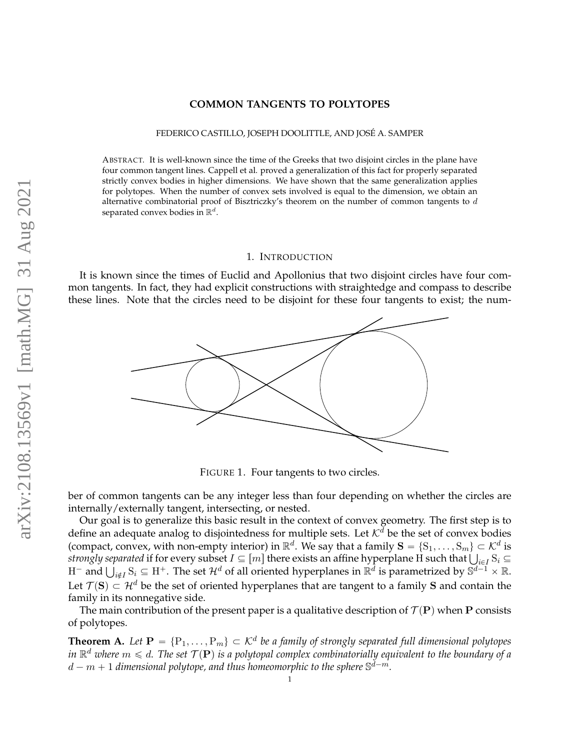# **COMMON TANGENTS TO POLYTOPES**

#### FEDERICO CASTILLO, JOSEPH DOOLITTLE, AND JOSE A. SAMPER ´

ABSTRACT. It is well-known since the time of the Greeks that two disjoint circles in the plane have four common tangent lines. Cappell et al. proved a generalization of this fact for properly separated strictly convex bodies in higher dimensions. We have shown that the same generalization applies for polytopes. When the number of convex sets involved is equal to the dimension, we obtain an alternative combinatorial proof of Bisztriczky's theorem on the number of common tangents to *d* separated convex bodies in  $\mathbb{R}^d$ .

#### 1. INTRODUCTION

It is known since the times of Euclid and Apollonius that two disjoint circles have four common tangents. In fact, they had explicit constructions with straightedge and compass to describe these lines. Note that the circles need to be disjoint for these four tangents to exist; the num-



FIGURE 1. Four tangents to two circles.

ber of common tangents can be any integer less than four depending on whether the circles are internally/externally tangent, intersecting, or nested.

Our goal is to generalize this basic result in the context of convex geometry. The first step is to define an adequate analog to disjointedness for multiple sets. Let  $K^d$  be the set of convex bodies (compact, convex, with non-empty interior) in  $\mathbb{R}^d$ . We say that a family  $\mathbf{S} = \{S_1, \ldots, S_m\} \subset \mathcal{K}^d$  is (compact, convex, with non-empty interior) in  $\mathbb{R}^a$ . We say that a family  $\mathbf{S} = \{S_1, \ldots, S_m\} \subset \mathcal{K}^a$  is *strongly separated* if for every subset  $I \subseteq [m]$  there exists an affine hyperplane H such that  $\bigcup_{i \in I$ Let  $\mathcal{T}(\mathbf{S}) \subset \mathcal{H}^d$  be the set of oriented hyperplanes that are tangent to a family **S** and contain the family in its nonnegative side.

The main contribution of the present paper is a qualitative description of  $\mathcal{T}(\mathbf{P})$  when **P** consists of polytopes.

<span id="page-0-0"></span>**Theorem A.** Let  $P = \{P_1, \ldots, P_m\} \subset \mathcal{K}^d$  be a family of strongly separated full dimensional polytopes in  $\mathbb{R}^d$  where  $m \leqslant d$ . The set  $\mathcal{T}(\mathbf{P})$  is a polytopal complex combinatorially equivalent to the boundary of a  $d-m+1$  dimensional polytope, and thus homeomorphic to the sphere  $\mathbb{S}^{\tilde{d}-m}.$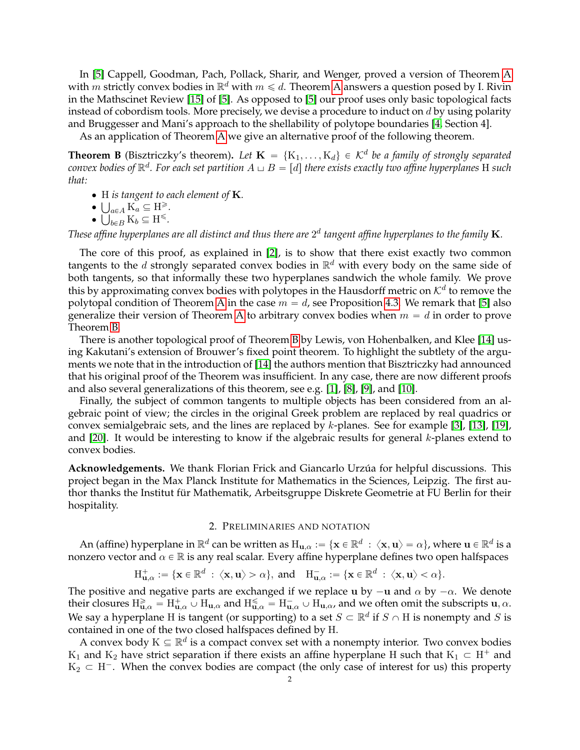In [\[5\]](#page-9-0) Cappell, Goodman, Pach, Pollack, Sharir, and Wenger, proved a version of Theorem [A](#page-0-0) with *m* strictly convex bodies in  $\mathbb{R}^d$  with  $m \le d$ . Theorem [A](#page-0-0) answers a question posed by I. Rivin in the Mathscinet Review [\[15\]](#page-9-1) of [\[5\]](#page-9-0). As opposed to [\[5\]](#page-9-0) our proof uses only basic topological facts instead of cobordism tools. More precisely, we devise a procedure to induct on *d* by using polarity and Bruggesser and Mani's approach to the shellability of polytope boundaries [\[4,](#page-9-2) Section 4].

As an application of Theorem [A](#page-0-0) we give an alternative proof of the following theorem.

<span id="page-1-0"></span>**Theorem B** (Bisztriczky's theorem). Let  $\mathbf{K} = \{K_1, \ldots, K_d\} \in \mathcal{K}^d$  be a family of strongly separated  $\alpha$  *convex bodies of*  $\mathbb{R}^d$  . For each set partition  $A \sqcup B = [d]$  there exists exactly two affine hyperplanes  $H$  such *that:*

- H *is tangent to each element of* **K***.*
- $\bigcup_{a \in A} K_a \subseteq H^{\geq}$ .
- $\bigcup_{b \in B} \mathbf{K}_b \subseteq \mathbf{H}^{\leqslant}$ .

These affine hyperplanes are all distinct and thus there are  $2^d$  tangent affine hyperplanes to the family  ${\bf K}.$ 

The core of this proof, as explained in [\[2\]](#page-9-3), is to show that there exist exactly two common tangents to the *d* strongly separated convex bodies in R *<sup>d</sup>* with every body on the same side of both tangents, so that informally these two hyperplanes sandwich the whole family. We prove this by approximating convex bodies with polytopes in the Hausdorff metric on  $\mathcal{K}^d$  to remove the polytopal condition of Theorem [A](#page-0-0) in the case  $m = d$ , see Proposition [4.3.](#page-5-0) We remark that [\[5\]](#page-9-0) also generalize their version of Theorem [A](#page-0-0) to arbitrary convex bodies when  $m = d$  in order to prove Theorem [B.](#page-1-0)

There is another topological proof of Theorem [B](#page-1-0) by Lewis, von Hohenbalken, and Klee [\[14\]](#page-9-4) using Kakutani's extension of Brouwer's fixed point theorem. To highlight the subtlety of the arguments we note that in the introduction of [\[14\]](#page-9-4) the authors mention that Bisztriczky had announced that his original proof of the Theorem was insufficient. In any case, there are now different proofs and also several generalizations of this theorem, see e.g. [\[1\]](#page-9-5), [\[8\]](#page-9-6), [\[9\]](#page-9-7), and [\[10\]](#page-9-8).

Finally, the subject of common tangents to multiple objects has been considered from an algebraic point of view; the circles in the original Greek problem are replaced by real quadrics or convex semialgebraic sets, and the lines are replaced by *k*-planes. See for example [\[3\]](#page-9-9), [\[13\]](#page-9-10), [\[19\]](#page-9-11), and [\[20\]](#page-9-12). It would be interesting to know if the algebraic results for general *k*-planes extend to convex bodies.

Acknowledgements. We thank Florian Frick and Giancarlo Urzúa for helpful discussions. This project began in the Max Planck Institute for Mathematics in the Sciences, Leipzig. The first author thanks the Institut für Mathematik, Arbeitsgruppe Diskrete Geometrie at FU Berlin for their hospitality.

# 2. PRELIMINARIES AND NOTATION

An (affine) hyperplane in  $\R^d$  can be written as  $H_{\mathbf{u},\alpha}:=\{\mathbf{x}\in\R^d\,:\,\langle\mathbf{x},\mathbf{u}\rangle=\alpha\}$ , where  $\mathbf{u}\in\R^d$  is a nonzero vector and  $\alpha \in \mathbb{R}$  is any real scalar. Every affine hyperplane defines two open halfspaces

$$
\textnormal{H}^+_{\mathbf u, \alpha}:=\{\mathbf x\in \mathbb R^d\ :\ \langle \mathbf x, \mathbf u \rangle >\alpha\}, \ \textnormal{and} \quad \textnormal{H}^-_{\mathbf u, \alpha}:=\{\mathbf x\in \mathbb R^d\ :\ \langle \mathbf x, \mathbf u \rangle <\alpha\}.
$$

The positive and negative parts are exchanged if we replace **u** by  $-\mathbf{u}$  and  $\alpha$  by  $-\alpha$ . We denote their closures  $H_{\mathbf{u},\alpha}^{\geq} = H_{\mathbf{u},\alpha}^+ \cup H_{\mathbf{u},\alpha}$  and  $H_{\mathbf{u},\alpha}^{\leq} = H_{\mathbf{u},\alpha}^- \cup H_{\mathbf{u},\alpha}$ , and we often omit the subscripts  $\mathbf{u},\alpha$ . We say a hyperplane H is tangent (or supporting) to a set  $S \subset \mathbb{R}^d$  if  $S \cap H$  is nonempty and  $S$  is contained in one of the two closed halfspaces defined by H.

A convex body  $K \subseteq \mathbb{R}^d$  is a compact convex set with a nonempty interior. Two convex bodies  $K_1$  and  $K_2$  have strict separation if there exists an affine hyperplane H such that  $K_1 \subset H^+$  and  $K_2 \subset H^-$ . When the convex bodies are compact (the only case of interest for us) this property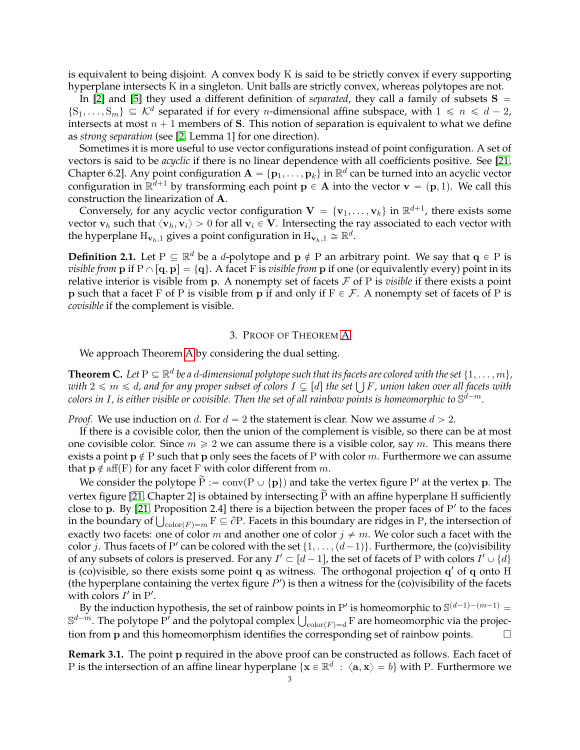is equivalent to being disjoint. A convex body K is said to be strictly convex if every supporting hyperplane intersects K in a singleton. Unit balls are strictly convex, whereas polytopes are not.

In [\[2\]](#page-9-3) and [\[5\]](#page-9-0) they used a different definition of *separated*, they call a family of subsets  $S =$  $\{S_1, \ldots, S_m\} \subseteq \mathcal{K}^d$  separated if for every *n*-dimensional affine subspace, with  $1 \leq n \leq d-2$ , intersects at most  $n + 1$  members of **S**. This notion of separation is equivalent to what we define as *strong separation* (see [\[2,](#page-9-3) Lemma 1] for one direction).

Sometimes it is more useful to use vector configurations instead of point configuration. A set of vectors is said to be *acyclic* if there is no linear dependence with all coefficients positive. See [\[21,](#page-9-13) Chapter 6.2]. Any point configuration  $A = \{p_1, \ldots, p_k\}$  in  $\mathbb{R}^d$  can be turned into an acyclic vector configuration in  $\mathbb{R}^{d+1}$  by transforming each point  $\mathbf{p} \in \mathbf{A}$  into the vector  $\mathbf{v} = (\mathbf{p}, 1)$ . We call this construction the linearization of **A**.

Conversely, for any acyclic vector configuration  $\mathbf{V} = \{\mathbf{v}_1, \dots, \mathbf{v}_k\}$  in  $\mathbb{R}^{d+1}$ , there exists some vector  $\mathbf{v}_h$  such that  $\langle \mathbf{v}_h, \mathbf{v}_i \rangle > 0$  for all  $\mathbf{v}_i \in \mathbf{V}$ . Intersecting the ray associated to each vector with the hyperplane  $\mathrm{H}_{\mathbf{v}_h,1}$  gives a point configuration in  $\mathrm{H}_{\mathbf{v}_h,1} \cong \mathbb{R}^d.$ 

**Definition 2.1.** Let  $P \subseteq \mathbb{R}^d$  be a *d*-polytope and  $p \notin P$  an arbitrary point. We say that  $q \in P$  is *visible from* **p** if  $P \cap [q, p] = \{q\}$ . A facet F is *visible from* **p** if one (or equivalently every) point in its relative interior is visible from **p**. A nonempty set of facets  $\mathcal F$  of P is *visible* if there exists a point **p** such that a facet F of P is visible from **p** if and only if  $F \in \mathcal{F}$ . A nonempty set of facets of P is *covisible* if the complement is visible.

# 3. PROOF OF THEOREM [A](#page-0-0)

We approach Theorem [A](#page-0-0) by considering the dual setting.

<span id="page-2-0"></span>**Theorem C.** Let  $P \subseteq \mathbb{R}^d$  be a d-dimensional polytope such that its facets are colored with the set  $\{1,\ldots,m\}$ , **Theorem C.** Let  $P \subseteq \mathbb{R}^a$  be a d-dimensional polytope such that its facets are colored with the set  $\{1,\ldots,m\},$  with  $2 \leqslant m \leqslant d$ , and for any proper subset of colors  $I \subsetneq [d]$  the set  $\bigcup F$ , union taken over al colors in I, is either visible or covisible. Then the set of all rainbow points is homeomorphic to  $\mathbb{S}^{d-m}.$ 

*Proof.* We use induction on *d*. For  $d = 2$  the statement is clear. Now we assume  $d > 2$ .

If there is a covisible color, then the union of the complement is visible, so there can be at most one covisible color. Since  $m \geqslant 2$  we can assume there is a visible color, say m. This means there exists a point  $p \notin P$  such that p only sees the facets of P with color *m*. Furthermore we can assume that  $p \notin aff(F)$  for any facet F with color different from *m*.

We consider the polytope  $\widetilde{P} := \text{conv}(P \cup \{p\})$  and take the vertex figure P' at the vertex p. The vertex figure [\[21,](#page-9-13) Chapter 2] is obtained by intersecting  $\tilde{P}$  with an affine hyperplane H sufficiently close to p. By [\[21,](#page-9-13) Proposition 2.4] there is a bijection between the proper faces of P' to the faces close to p. By [21, Proposition 2.4] there is a bijection between the proper faces of P' to the faces<br>in the boundary of  $\bigcup_{\text{color}(F)=m}$   $F \subseteq \partial P$ . Facets in this boundary are ridges in P, the intersection of exactly two facets: one of color *m* and another one of color  $j \neq m$ . We color such a facet with the color *j*. Thus facets of P' can be colored with the set  $\{1, \ldots, (d-1)\}$ . Furthermore, the (co)visibility of any subsets of colors is preserved. For any  $I' \subset [d-1]$ , the set of facets of P with colors  $I' \cup \{d\}$ is (co)visible, so there exists some point **q** as witness. The orthogonal projection **q'** of **q** onto H (the hyperplane containing the vertex figure  $P'$ ) is then a witness for the (co)visibility of the facets with colors  $I'$  in  $P'$ .

By the induction hypothesis, the set of rainbow points in P' is homeomorphic to  $\mathbb{S}^{(d-1)-(m-1)}$  = By the induction hypothesis, the set of rainbow points in P<sup>*r*</sup> is homeomorphic to  $S^{(a-1)-(m-1)} =$ <br> $S^{d-m}$ . The polytope P<sup>*r*</sup> and the polytopal complex  $\bigcup_{\text{color}(F)=d}$  F are homeomorphic via the projection from **p** and this homeomorphism identifies the corresponding set of rainbow points.

**Remark 3.1.** The point **p** required in the above proof can be constructed as follows. Each facet of P is the intersection of an affine linear hyperplane  $\{x \in \mathbb{R}^d : \langle a, x \rangle = b\}$  with P. Furthermore we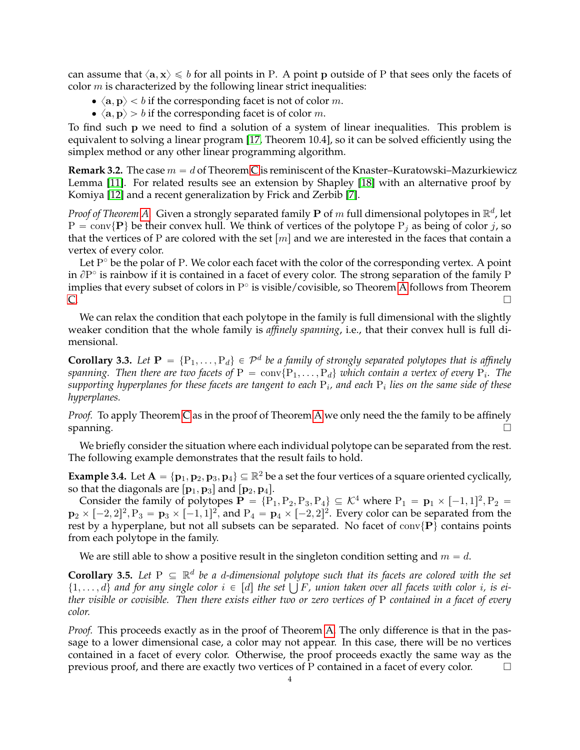can assume that  $\langle \mathbf{a}, \mathbf{x} \rangle \leq b$  for all points in P. A point **p** outside of P that sees only the facets of color *m* is characterized by the following linear strict inequalities:

- $\langle \mathbf{a}, \mathbf{p} \rangle < b$  if the corresponding facet is not of color *m*.
- $\langle \mathbf{a}, \mathbf{p} \rangle > b$  if the corresponding facet is of color *m*.

To find such **p** we need to find a solution of a system of linear inequalities. This problem is equivalent to solving a linear program [\[17,](#page-9-14) Theorem 10.4], so it can be solved efficiently using the simplex method or any other linear programming algorithm.

**Remark 3.2.** The case  $m = d$  of Theorem [C](#page-2-0) is reminiscent of the Knaster–Kuratowski–Mazurkiewicz Lemma [\[11\]](#page-9-15). For related results see an extension by Shapley [\[18\]](#page-9-16) with an alternative proof by Komiya [\[12\]](#page-9-17) and a recent generalization by Frick and Zerbib [\[7\]](#page-9-18).

*Proof of Theorem [A.](#page-0-0)* Given a strongly separated family **P** of *m* full dimensional polytopes in  $\mathbb{R}^d$ , let  $P = \text{conv}\{\mathbf{P}\}\$  be their convex hull. We think of vertices of the polytope  $P_i$  as being of color *j*, so that the vertices of P are colored with the set  $\lfloor m \rfloor$  and we are interested in the faces that contain a vertex of every color.

Let  $P<sup>°</sup>$  be the polar of P. We color each facet with the color of the corresponding vertex. A point in  $\partial P^{\circ}$  is rainbow if it is contained in a facet of every color. The strong separation of the family P implies that every subset of colors in  $P^{\circ}$  is visible/covisible, so Theorem [A](#page-0-0) follows from Theorem  $\overline{C}$ .

We can relax the condition that each polytope in the family is full dimensional with the slightly weaker condition that the whole family is *affinely spanning*, i.e., that their convex hull is full dimensional.

<span id="page-3-0"></span>**Corollary 3.3.** Let  $P = \{P_1, \ldots, P_d\} \in \mathcal{P}^d$  be a family of strongly separated polytopes that is affinely  $s$ panning. Then there are two facets of  $\mathrm{P}\,=\,\mathrm{conv}\{\mathrm{P}_1,\ldots,\mathrm{P}_d\}$  which contain a vertex of every  $\mathrm{P}_i$ . The  $s$ upporting hyperplanes for these facets are tangent to each  $\mathrm{P}_i$ , and each  $\mathrm{P}_i$  lies on the same side of these *hyperplanes.*

*Proof.* To apply Theorem [C](#page-2-0) as in the proof of Theorem [A](#page-0-0) we only need the the family to be affinely spanning. The contract of the contract of the contract of the contract of the contract of the contract of the contract of the contract of the contract of the contract of the contract of the contract of the contract of the

We briefly consider the situation where each individual polytope can be separated from the rest. The following example demonstrates that the result fails to hold.

**Example 3.4.** Let  $A = \{p_1, p_2, p_3, p_4\} \subseteq \mathbb{R}^2$  be a set the four vertices of a square oriented cyclically, so that the diagonals are  $\left[\mathbf{p}_1, \mathbf{p}_3\right]$  and  $\left[\mathbf{p}_2, \mathbf{p}_4\right]$ .

Consider the family of polytopes  $\mathbf{P} = \{P_1, P_2, P_3, P_4\} \subseteq \mathcal{K}^4$  where  $P_1 = \mathbf{p}_1 \times [-1,1]^2, P_2 =$  ${\bf p}_2 \times [-2,2]^2,$   $P_3 = {\bf p}_3 \times [-1,1]^2,$  and  $P_4 = {\bf p}_4 \times [-2,2]^2.$  Every color can be separated from the rest by a hyperplane, but not all subsets can be separated. No facet of  $conv\{P\}$  contains points from each polytope in the family.

We are still able to show a positive result in the singleton condition setting and  $m = d$ .

**Corollary 3.5.** Let  $P \subseteq \mathbb{R}^d$  be a d-dimensional polytope such that its facets are colored with the set **Corollary** 3.5. Let  $P \subseteq \mathbb{R}^d$  be a d-dimensional polytope such that its facets are colored with the set  $\{1,\ldots,d\}$  and for any single color  $i \in [d]$  the set  $\bigcup F$ , union taken over all facets with color  $i$ , is ei*ther visible or covisible. Then there exists either two or zero vertices of* P *contained in a facet of every color.*

*Proof.* This proceeds exactly as in the proof of Theorem [A.](#page-0-0) The only difference is that in the passage to a lower dimensional case, a color may not appear. In this case, there will be no vertices contained in a facet of every color. Otherwise, the proof proceeds exactly the same way as the previous proof, and there are exactly two vertices of P contained in a facet of every color.  $\Box$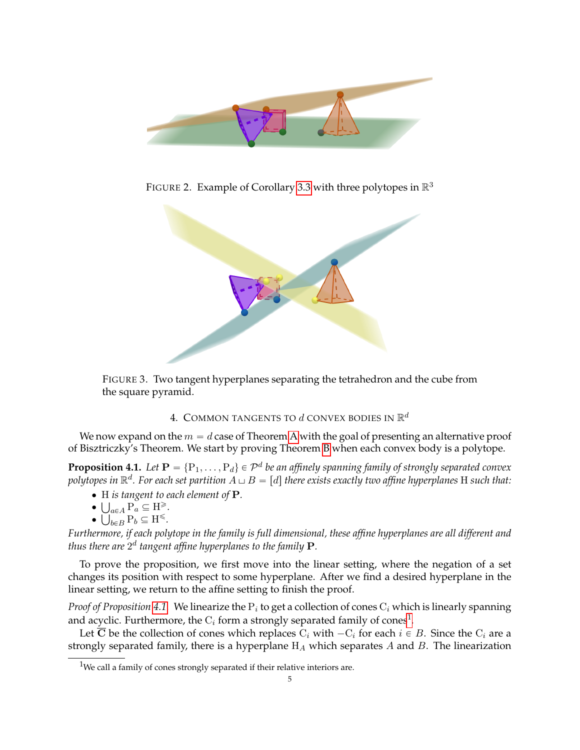

FIGURE 2. Example of Corollary [3.3](#page-3-0) with three polytopes in  $\mathbb{R}^3$ 



FIGURE 3. Two tangent hyperplanes separating the tetrahedron and the cube from the square pyramid.

# <span id="page-4-2"></span>4. COMMON TANGENTS TO  $d$  CONVEX BODIES IN  $\mathbb{R}^d$

We now expand on the  $m = d$  case of Theorem [A](#page-0-0) with the goal of presenting an alternative proof of Bisztriczky's Theorem. We start by proving Theorem [B](#page-1-0) when each convex body is a polytope.

<span id="page-4-0"></span> $\bf{Proposition 4.1.}$  Let  $\bf{P}=\{P_1,\ldots,P_d\}\in\mathcal{P}^d$  be an affinely spanning family of strongly separated convex polytopes in  $\mathbb{R}^d$ . For each set partition  $A\sqcup B=[d]$  there exists exactly two affine hyperplanes  $\rm H$  such that:

- H *is tangent to each element of* **P***.*
- $\bigcup_{a \in A} P_a \subseteq H^{\geq}$ .
- $\bigcup_{b \in B} \mathbf{P}_b \subseteq \mathbf{H}^{\leqslant}$ .

*Furthermore, if each polytope in the family is full dimensional, these affine hyperplanes are all different and* thus there are  $2^d$  tangent affine hyperplanes to the family  $\mathbf{P}$ *.* 

To prove the proposition, we first move into the linear setting, where the negation of a set changes its position with respect to some hyperplane. After we find a desired hyperplane in the linear setting, we return to the affine setting to finish the proof.

*Proof of Proposition [4.1.](#page-4-0)* We linearize the P*<sup>i</sup>* to get a collection of cones C*<sup>i</sup>* which is linearly spanning and acyclic. Furthermore, the  $\mathrm{C}_i$  form a strongly separated family of cones $^1$  $^1$ .

Let  $\overline{C}$  be the collection of cones which replaces  $C_i$  with  $-C_i$  for each  $i \in B$ . Since the  $C_i$  are a strongly separated family, there is a hyperplane H*<sup>A</sup>* which separates *A* and *B*. The linearization

<span id="page-4-1"></span><sup>&</sup>lt;sup>1</sup>We call a family of cones strongly separated if their relative interiors are.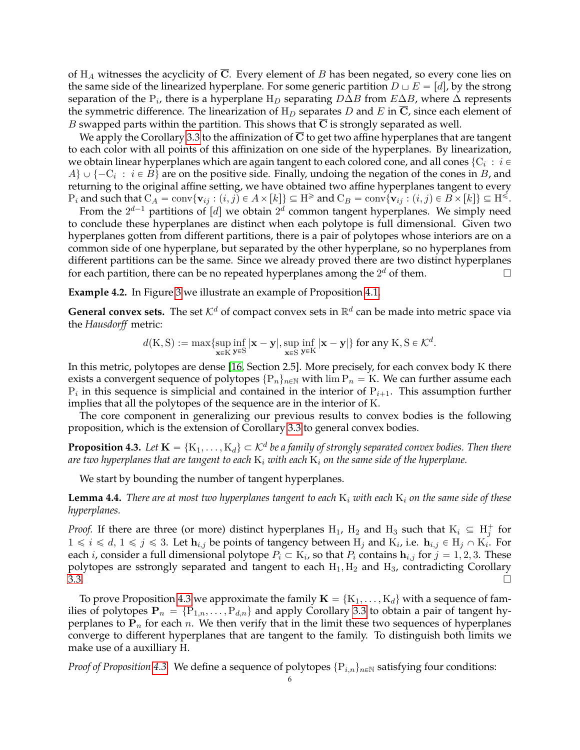of H*<sup>A</sup>* witnesses the acyclicity of **C**. Every element of *B* has been negated, so every cone lies on the same side of the linearized hyperplane. For some generic partition  $D \sqcup E = |d|$ , by the strong separation of the P*<sup>i</sup>* , there is a hyperplane H*<sup>D</sup>* separating *D*∆*B* from *E*∆*B*, where ∆ represents the symmetric difference. The linearization of  $H_D$  separates *D* and *E* in  $\overline{C}$ , since each element of *B* swapped parts within the partition. This shows that  $\overline{C}$  is strongly separated as well.

We apply the Corollary [3.3](#page-3-0) to the affinization of  $\overline{C}$  to get two affine hyperplanes that are tangent to each color with all points of this affinization on one side of the hyperplanes. By linearization, we obtain linear hyperplanes which are again tangent to each colored cone, and all cones  $\{ {\rm C}_i \, : \, i \in$  $A\} \cup \{-C_i : i \in B\}$  are on the positive side. Finally, undoing the negation of the cones in *B*, and returning to the original affine setting, we have obtained two affine hyperplanes tangent to every  $P_i$  and such that  $C_A = \text{conv}\{\mathbf{v}_{ij} : (i,j) \in A \times [k]\} \subseteq H^{\geq}$  and  $C_B = \text{conv}\{\mathbf{v}_{ij} : (i,j) \in B \times [k]\} \subseteq H^{\leq}$ .

From the  $2^{d-1}$  partitions of [*d*] we obtain  $2^d$  common tangent hyperplanes. We simply need to conclude these hyperplanes are distinct when each polytope is full dimensional. Given two hyperplanes gotten from different partitions, there is a pair of polytopes whose interiors are on a common side of one hyperplane, but separated by the other hyperplane, so no hyperplanes from different partitions can be the same. Since we already proved there are two distinct hyperplanes for each partition, there can be no repeated hyperplanes among the  $2^d$  of them.

**Example 4.2.** In Figure [3](#page-4-2) we illustrate an example of Proposition [4.1.](#page-4-0)

**General convex sets.** The set  $K^d$  of compact convex sets in  $\mathbb{R}^d$  can be made into metric space via the *Hausdorff* metric:

$$
d(K,S):=\max\{\sup_{\mathbf{x}\in K}\inf_{\mathbf{y}\in S}|\mathbf{x}-\mathbf{y}|,\sup_{\mathbf{x}\in S}\inf_{\mathbf{y}\in K}|\mathbf{x}-\mathbf{y}|\}\text{ for any }K,S\in\mathcal{K}^d.
$$

In this metric, polytopes are dense [\[16,](#page-9-19) Section 2.5]. More precisely, for each convex body K there exists a convergent sequence of polytopes  $\{P_n\}_{n\in\mathbb{N}}$  with  $\lim P_n = K$ . We can further assume each  $P_i$  in this sequence is simplicial and contained in the interior of  $P_{i+1}$ . This assumption further implies that all the polytopes of the sequence are in the interior of K.

The core component in generalizing our previous results to convex bodies is the following proposition, which is the extension of Corollary [3.3](#page-3-0) to general convex bodies.

<span id="page-5-0"></span>**Proposition 4.3.** Let  $\mathbf{K} = \{K_1, \ldots, K_d\} \subset \mathcal{K}^d$  be a family of strongly separated convex bodies. Then there *are two hyperplanes that are tangent to each* K*<sup>i</sup> with each* K*<sup>i</sup> on the same side of the hyperplane.*

We start by bounding the number of tangent hyperplanes.

**Lemma 4.4.** *There are at most two hyperplanes tangent to each* K*<sup>i</sup> with each* K*<sup>i</sup> on the same side of these hyperplanes.*

*Proof.* If there are three (or more) distinct hyperplanes  $H_1$ ,  $H_2$  and  $H_3$  such that  $K_i \subseteq H_j^+$  for  $1 \leq i \leq d, 1 \leq j \leq 3$ . Let  $\mathbf{h}_{i,j}$  be points of tangency between  $H_j$  and  $K_i$ , i.e.  $\mathbf{h}_{i,j} \in H_j \cap K_i$ . For each *i*, consider a full dimensional polytope  $P_i \subset K_i$ , so that  $P_i$  contains  $\mathbf{h}_{i,j}$  for  $j = 1, 2, 3$ . These polytopes are sstrongly separated and tangent to each  $H_1, H_2$  and  $H_3$ , contradicting Corollary  $\overline{3.3}$ .

To prove Proposition [4.3](#page-5-0) we approximate the family  $\mathbf{K} = \{K_1, \ldots, K_d\}$  with a sequence of families of polytopes  $P_n = \{P_{1,n}, \ldots, P_{d,n}\}\$  and apply Corollary [3.3](#page-3-0) to obtain a pair of tangent hyperplanes to  $P_n$  for each *n*. We then verify that in the limit these two sequences of hyperplanes converge to different hyperplanes that are tangent to the family. To distinguish both limits we make use of a auxilliary H.

*Proof of Proposition* [4.3.](#page-5-0) We define a sequence of polytopes  $\{P_{i,n}\}_{n\in\mathbb{N}}$  satisfying four conditions: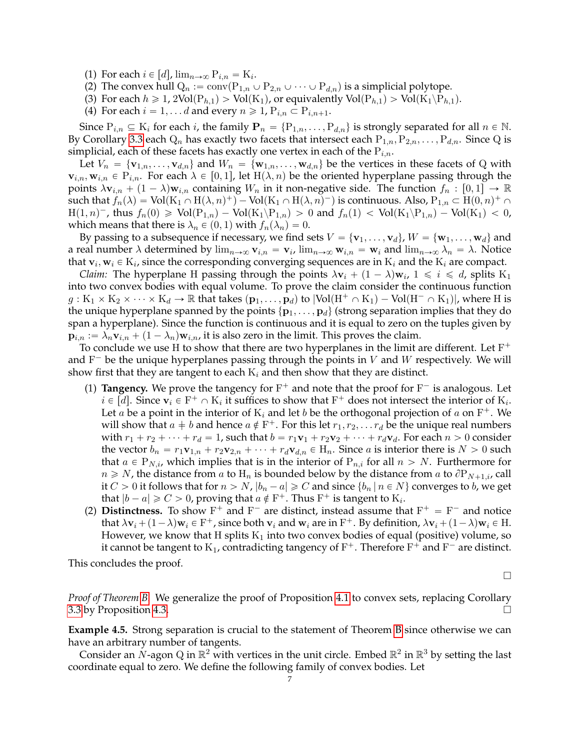- (1) For each  $i \in [d]$ ,  $\lim_{n \to \infty} P_{i,n} = K_i$ .
- (2) The convex hull  $Q_n := \text{conv}(P_{1,n} \cup P_{2,n} \cup \cdots \cup P_{d,n})$  is a simplicial polytope.
- (3) For each  $h \geq 1$ ,  $2\text{Vol}(P_{h,1}) > \text{Vol}(K_1)$ , or equivalently  $\text{Vol}(P_{h,1}) > \text{Vol}(K_1 \backslash P_{h,1})$ .
- (4) For each  $i = 1, \ldots d$  and every  $n \ge 1$ ,  $P_{i,n} \subset P_{i,n+1}$ .

Since  $P_{i,n} \subseteq K_i$  for each *i*, the family  $P_n = \{P_{1,n}, \ldots, P_{d,n}\}$  is strongly separated for all  $n \in \mathbb{N}$ . By Corollary [3.3](#page-3-0) each  $Q_n$  has exactly two facets that intersect each  $P_{1,n}, P_{2,n}, \ldots, P_{d,n}$ . Since Q is simplicial, each of these facets has exactly one vertex in each of the P*i,n*.

Let  $V_n = \{v_{1,n}, \ldots, v_{d,n}\}\$  and  $W_n = \{w_{1,n}, \ldots, w_{d,n}\}\$  be the vertices in these facets of Q with  $\mathbf{v}_{i,n}, \mathbf{w}_{i,n} \in \mathrm{P}_{i,n}$ . For each  $\lambda \in [0,1]$ , let  $\mathrm{H}(\lambda, n)$  be the oriented hyperplane passing through the points  $\lambda$ **v**<sub>*i*,*n*</sub> +  $(1 - \lambda)$ **w**<sub>*i*,*n*</sub> containing *W<sub><i>n*</sub> in it non-negative side. The function  $f_n : [0,1] \to \mathbb{R}$ such that  $f_n(\lambda) = \text{Vol}(K_1 \cap H(\lambda, n)^+) - \text{Vol}(K_1 \cap H(\lambda, n)^-)$  is continuous. Also,  $P_{1,n} \subset H(0, n)^+ \cap H(0, n)^ H(1, n)^{-}$ , thus  $f_n(0) \geq \text{Vol}(P_{1,n}) - \text{Vol}(K_1 \backslash P_{1,n}) > 0$  and  $f_n(1) < \text{Vol}(K_1 \backslash P_{1,n}) - \text{Vol}(K_1) < 0$ , which means that there is  $\lambda_n \in (0,1)$  with  $f_n(\lambda_n) = 0$ .

By passing to a subsequence if necessary, we find sets  $V = \{v_1, \ldots, v_d\}$ ,  $W = \{w_1, \ldots, w_d\}$  and a real number  $\lambda$  determined by  $\lim_{n\to\infty} \mathbf{v}_{i,n} = \mathbf{v}_i$ ,  $\lim_{n\to\infty} \mathbf{w}_{i,n} = \mathbf{w}_i$  and  $\lim_{n\to\infty} \lambda_n = \lambda$ . Notice that  $\mathbf{v}_i, \mathbf{w}_i \in \mathrm{K}_i$ , since the corresponding converging sequences are in  $\mathrm{K}_i$  and the  $\mathrm{K}_i$  are compact.

*Claim:* The hyperplane H passing through the points  $\lambda$ **v**<sub>*i*</sub> +  $(1 - \lambda)$ **w**<sub>*i*</sub>,  $1 \leq i \leq d$ , splits K<sub>1</sub> into two convex bodies with equal volume. To prove the claim consider the continuous function  $g: K_1 \times K_2 \times \cdots \times K_d \to \mathbb{R}$  that takes  $(\mathbf{p}_1, \ldots, \mathbf{p}_d)$  to  $|Vol(H^+ \cap K_1) - Vol(H^- \cap K_1)|$ , where H is the unique hyperplane spanned by the points  $\{p_1, \ldots, p_d\}$  (strong separation implies that they do span a hyperplane). Since the function is continuous and it is equal to zero on the tuples given by  $\mathbf{p}_{i,n} := \lambda_n \mathbf{v}_{i,n} + (1 - \lambda_n) \mathbf{w}_{i,n}$ , it is also zero in the limit. This proves the claim.

To conclude we use H to show that there are two hyperplanes in the limit are different. Let  $F^+$ and  $F^-$  be the unique hyperplanes passing through the points in  $V$  and  $W$  respectively. We will show first that they are tangent to each  $K_i$  and then show that they are distinct.

- (1) **Tangency.** We prove the tangency for  $F^+$  and note that the proof for  $F^-$  is analogous. Let  $i \in [d]$ . Since  $\mathbf{v}_i \in \mathbb{F}^+ \cap \mathbb{K}_i$  it suffices to show that  $\mathbb{F}^+$  does not intersect the interior of  $\mathbb{K}_i$ . Let  $a$  be a point in the interior of  $K_i$  and let  $b$  be the orthogonal projection of  $a$  on  $F^+$ . We will show that  $a \neq b$  and hence  $a \notin F^+$ . For this let  $r_1, r_2, \ldots r_d$  be the unique real numbers with  $r_1 + r_2 + \cdots + r_d = 1$ , such that  $b = r_1 \mathbf{v}_1 + r_2 \mathbf{v}_2 + \cdots + r_d \mathbf{v}_d$ . For each  $n > 0$  consider the vector  $b_n = r_1 \mathbf{v}_{1,n} + r_2 \mathbf{v}_{2,n} + \cdots + r_d \mathbf{v}_{d,n} \in \mathcal{H}_n$ . Since *a* is interior there is  $N > 0$  such that  $a \in P_{N,i}$ , which implies that is in the interior of  $P_{n,i}$  for all  $n > N$ . Furthermore for  $n \geq N$ , the distance from *a* to  $H_n$  is bounded below by the distance from *a* to  $\partial P_{N+1,i}$ , call it *C* > 0 it follows that for  $n > N$ ,  $|b_n - a| \ge C$  and since  $\{b_n | n \in N\}$  converges to *b*, we get that  $|b - a| \geqslant C > 0$ , proving that  $a \notin F^+$ . Thus  $F^+$  is tangent to  $K_i$ .
- (2) **Distinctness.** To show  $F^+$  and  $F^-$  are distinct, instead assume that  $F^+ = F^-$  and notice that  $\lambda$ **v**<sub>*i*</sub> +  $(1 - \lambda)$ **w**<sub>*i*</sub>  $\in$  F<sup>+</sup>, since both **v**<sub>*i*</sub> and **w**<sub>*i*</sub> are in F<sup>+</sup>. By definition,  $\lambda$ **v**<sub>*i*</sub> +  $(1 - \lambda)$ **w**<sub>*i*</sub>  $\in$  H. However, we know that H splits  $K_1$  into two convex bodies of equal (positive) volume, so it cannot be tangent to  $\mathrm{K}_1$ , contradicting tangency of  $\mathrm{F}^+$ . Therefore  $\mathrm{F}^+$  and  $\mathrm{F}^-$  are distinct.

This concludes the proof.

 $\Box$ 

*Proof of Theorem [B.](#page-1-0)* We generalize the proof of Proposition [4.1](#page-4-0) to convex sets, replacing Corollary [3.3](#page-3-0) by Proposition [4.3.](#page-5-0)

**Example 4.5.** Strong separation is crucial to the statement of Theorem [B](#page-1-0) since otherwise we can have an arbitrary number of tangents.

Consider an N-agon Q in  $\mathbb{R}^2$  with vertices in the unit circle. Embed  $\mathbb{R}^2$  in  $\mathbb{R}^3$  by setting the last coordinate equal to zero. We define the following family of convex bodies. Let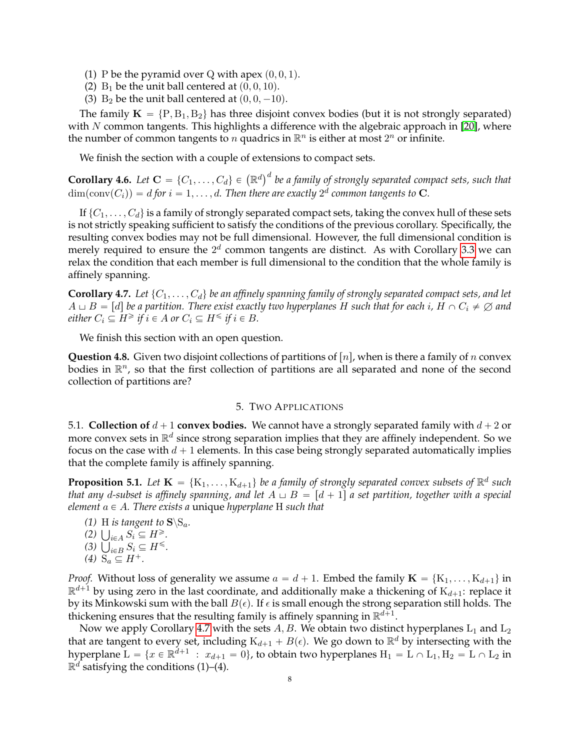- (1) P be the pyramid over Q with apex  $(0, 0, 1)$ .
- (2)  $B_1$  be the unit ball centered at  $(0, 0, 10)$ .
- (3)  $B_2$  be the unit ball centered at  $(0, 0, -10)$ .

The family  $K = \{P, B_1, B_2\}$  has three disjoint convex bodies (but it is not strongly separated) with *N* common tangents. This highlights a difference with the algebraic approach in [\[20\]](#page-9-12), where the number of common tangents to *n* quadrics in  $\mathbb{R}^n$  is either at most  $2^n$  or infinite.

We finish the section with a couple of extensions to compact sets.

**Corollary 4.6.** Let  $\mathbf{C} = \{C_1, \ldots, C_d\} \in (\mathbb{R}^d)^d$  be a family of strongly separated compact sets, such that  $dim(\text{conv}(C_i)) = d$  for  $i = 1, \ldots, d$ . Then there are exactly  $2^d$  common tangents to **C**.

If  $\{C_1, \ldots, C_d\}$  is a family of strongly separated compact sets, taking the convex hull of these sets is not strictly speaking sufficient to satisfy the conditions of the previous corollary. Specifically, the resulting convex bodies may not be full dimensional. However, the full dimensional condition is merely required to ensure the  $2^d$  common tangents are distinct. As with Corollary [3.3](#page-3-0) we can relax the condition that each member is full dimensional to the condition that the whole family is affinely spanning.

<span id="page-7-0"></span>**Corollary 4.7.** Let  $\{C_1, \ldots, C_d\}$  be an affinely spanning family of strongly separated compact sets, and let  $A \cup B = [d]$  be a partition. There exist exactly two hyperplanes *H* such that for each *i*,  $H \cap C_i \neq \emptyset$  and *either*  $C_i \subseteq H^{\geq}$  *if*  $i \in A$  *or*  $C_i \subseteq H^{\leq}$  *if*  $i \in B$ *.* 

We finish this section with an open question.

**Question 4.8.** Given two disjoint collections of partitions of  $[n]$ , when is there a family of *n* convex bodies in  $\mathbb{R}^n$ , so that the first collection of partitions are all separated and none of the second collection of partitions are?

### 5. TWO APPLICATIONS

5.1. **Collection of**  $d + 1$  **convex bodies.** We cannot have a strongly separated family with  $d + 2$  or more convex sets in  $\mathbb{R}^d$  since strong separation implies that they are affinely independent. So we focus on the case with  $d + 1$  elements. In this case being strongly separated automatically implies that the complete family is affinely spanning.

<span id="page-7-1"></span>**Proposition 5.1.** Let  $\mathbf{K} = \{K_1, \ldots, K_{d+1}\}$  be a family of strongly separated convex subsets of  $\mathbb{R}^d$  such *that any d-subset is affinely spanning, and let*  $A \sqcup B = [d + 1]$  *a set partition, together with a special element*  $a \in A$ *. There exists a* unique *hyperplane* H *such that* 

- *(1)* H *is tangent to*  $\mathbf{S}\backslash\mathbf{S}_a$ *.*
- *(1)* **H** is tangent to  $\{2\}$   $\bigcup_{i \in A} S_i \subseteq H^{\geq}$ .
- $(2)$   $\bigcup_{i \in A} S_i \subseteq H^{\geq}$ .<br>  $(3)$   $\bigcup_{i \in B} S_i \subseteq H^{\leq}$ .
- *(4)*  $S_a \subseteq H^+$ *.*

*Proof.* Without loss of generality we assume  $a = d + 1$ . Embed the family  $\mathbf{K} = \{K_1, \ldots, K_{d+1}\}$  in  $\mathbb{R}^{d+1}$  by using zero in the last coordinate, and additionally make a thickening of  $\mathrm{K}_{d+1}$ : replace it by its Minkowski sum with the ball  $B(\epsilon)$ . If  $\epsilon$  is small enough the strong separation still holds. The thickening ensures that the resulting family is affinely spanning in  $\mathbb{R}^{d+1}$ .

Now we apply Corollary [4.7](#page-7-0) with the sets  $A, B$ . We obtain two distinct hyperplanes  $L_1$  and  $L_2$ that are tangent to every set, including  $K_{d+1} + B(\epsilon)$ . We go down to  $\mathbb{R}^d$  by intersecting with the hyperplane  $L = \{x \in \mathbb{R}^{d+1} : x_{d+1} = 0\}$ , to obtain two hyperplanes  $H_1 = L \cap L_1, H_2 = L \cap L_2$  in  $\mathbb{R}^d$  satisfying the conditions (1)–(4).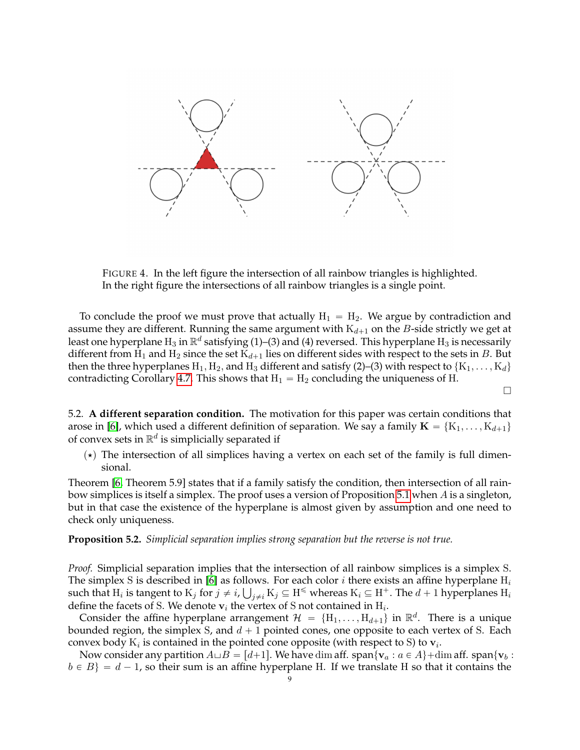

<span id="page-8-0"></span>FIGURE 4. In the left figure the intersection of all rainbow triangles is highlighted. In the right figure the intersections of all rainbow triangles is a single point.

To conclude the proof we must prove that actually  $H_1 = H_2$ . We argue by contradiction and assume they are different. Running the same argument with  $K_{d+1}$  on the *B*-side strictly we get at least one hyperplane  $H_3$  in  $\mathbb{R}^d$  satisfying (1)–(3) and (4) reversed. This hyperplane  $H_3$  is necessarily different from  $H_1$  and  $H_2$  since the set  $K_{d+1}$  lies on different sides with respect to the sets in *B*. But then the three hyperplanes  $H_1, H_2$ , and  $H_3$  different and satisfy (2)–(3) with respect to  $\{K_1, \ldots, K_d\}$ contradicting Corollary [4.7.](#page-7-0) This shows that  $H_1 = H_2$  concluding the uniqueness of H.

 $\Box$ 

5.2. **A different separation condition.** The motivation for this paper was certain conditions that arose in [\[6\]](#page-9-20), which used a different definition of separation. We say a family  $\mathbf{K} = \{K_1, \ldots, K_{d+1}\}\$ of convex sets in  $\mathbb{R}^d$  is simplicially separated if

 $(\star)$  The intersection of all simplices having a vertex on each set of the family is full dimensional.

Theorem [\[6,](#page-9-20) Theorem 5.9] states that if a family satisfy the condition, then intersection of all rainbow simplices is itself a simplex. The proof uses a version of Proposition [5.1](#page-7-1) when *A* is a singleton, but in that case the existence of the hyperplane is almost given by assumption and one need to check only uniqueness.

**Proposition 5.2.** *Simplicial separation implies strong separation but the reverse is not true.*

*Proof.* Simplicial separation implies that the intersection of all rainbow simplices is a simplex S. The simplex S is described in [\[6\]](#page-9-20) as follows. For each color *i* there exists an affine hyperplane H*<sup>i</sup>* Ť such that  $H_i$  is tangent to  $K_j$  for  $j\neq i$ ,  $\bigcup_{j\neq i}K_j\subseteq H^\leq$  whereas  $K_i\subseteq H^+$ . The  $d+1$  hyperplanes  $H_i$ define the facets of S. We denote  $v_i$  the vertex of S not contained in  $H_i$ .

Consider the affine hyperplane arrangement  $\mathcal{H} = \{H_1, \ldots, H_{d+1}\}$  in  $\mathbb{R}^d$ . There is a unique bounded region, the simplex S, and  $d + 1$  pointed cones, one opposite to each vertex of S. Each convex body  $K_i$  is contained in the pointed cone opposite (with respect to S) to  $\mathbf{v}_i$ .

Now consider any partition  $A \sqcup B = [d+1]$ . We have dim aff. span $\{v_a : a \in A\}$  + dim aff. span $\{v_b :$  $b \in B$  =  $d - 1$ , so their sum is an affine hyperplane H. If we translate H so that it contains the